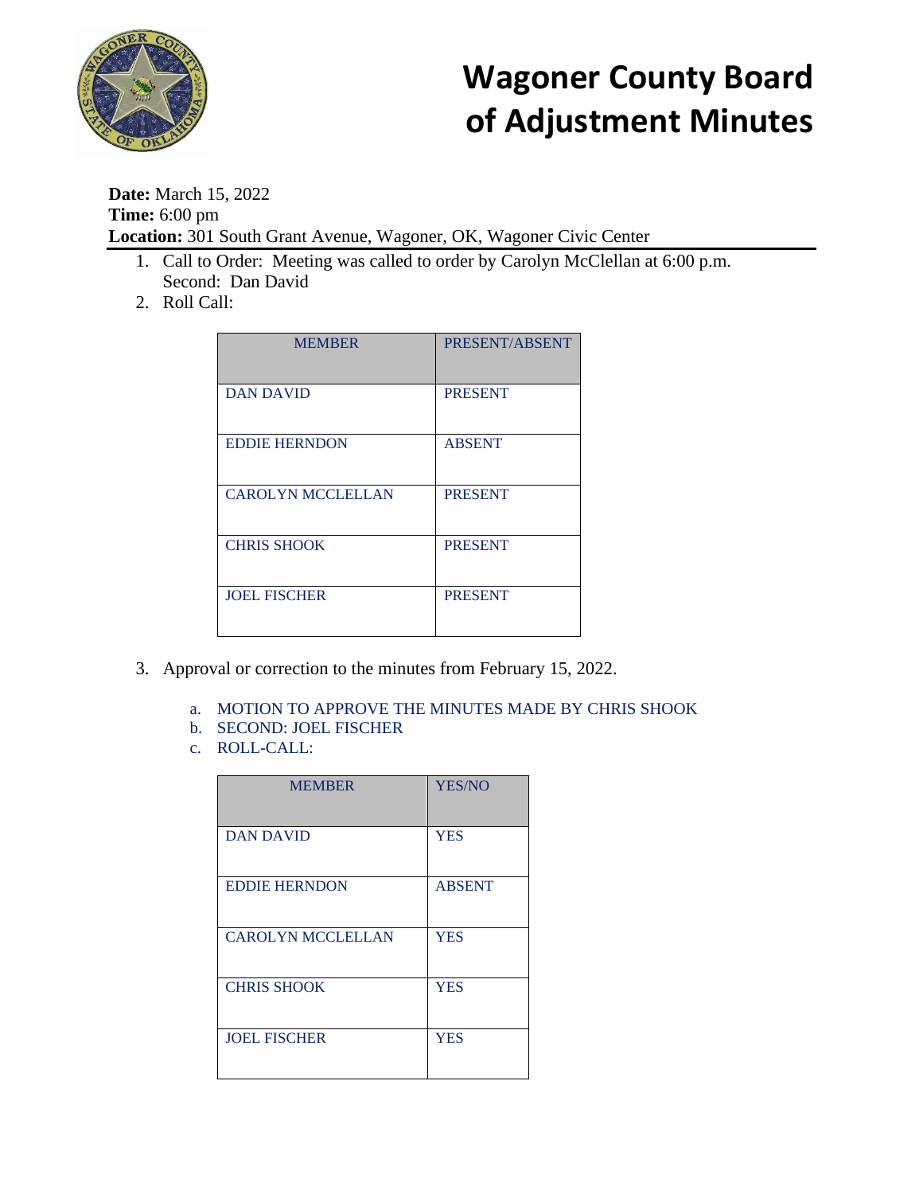

## **Wagoner County Board of Adjustment Minutes**

**Date:** March 15, 2022 **Time:** 6:00 pm **Location:** 301 South Grant Avenue, Wagoner, OK, Wagoner Civic Center

- 1. Call to Order: Meeting was called to order by Carolyn McClellan at 6:00 p.m. Second: Dan David
- 2. Roll Call:

| <b>MEMBER</b>            | PRESENT/ABSENT |
|--------------------------|----------------|
| <b>DAN DAVID</b>         | <b>PRESENT</b> |
| <b>EDDIE HERNDON</b>     | <b>ABSENT</b>  |
| <b>CAROLYN MCCLELLAN</b> | <b>PRESENT</b> |
| <b>CHRIS SHOOK</b>       | <b>PRESENT</b> |
| <b>JOEL FISCHER</b>      | <b>PRESENT</b> |

- 3. Approval or correction to the minutes from February 15, 2022.
	- a. MOTION TO APPROVE THE MINUTES MADE BY CHRIS SHOOK
	- b. SECOND: JOEL FISCHER
	- c. ROLL-CALL:

| <b>MEMBER</b>            | <b>YES/NO</b> |
|--------------------------|---------------|
|                          |               |
|                          |               |
| <b>DAN DAVID</b>         | <b>YES</b>    |
|                          |               |
|                          |               |
|                          |               |
| <b>EDDIE HERNDON</b>     | <b>ABSENT</b> |
|                          |               |
|                          |               |
| <b>CAROLYN MCCLELLAN</b> | <b>YES</b>    |
|                          |               |
|                          |               |
|                          |               |
| <b>CHRIS SHOOK</b>       | <b>YES</b>    |
|                          |               |
|                          |               |
| <b>JOEL FISCHER</b>      | <b>YES</b>    |
|                          |               |
|                          |               |
|                          |               |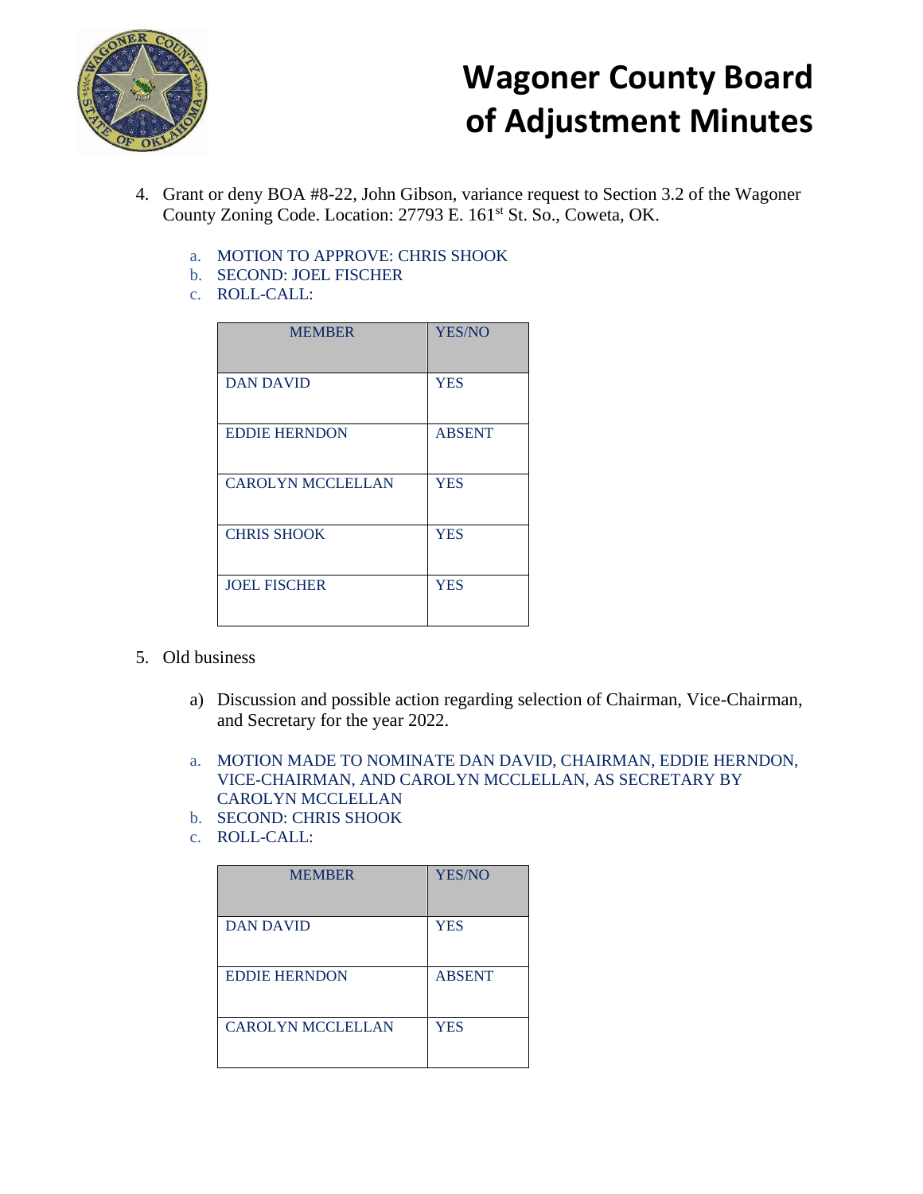

## **Wagoner County Board of Adjustment Minutes**

- 4. Grant or deny BOA #8-22, John Gibson, variance request to Section 3.2 of the Wagoner County Zoning Code. Location: 27793 E. 161<sup>st</sup> St. So., Coweta, OK.
	- a. MOTION TO APPROVE: CHRIS SHOOK
	- b. SECOND: JOEL FISCHER
	- c. ROLL-CALL:

| <b>MEMBER</b>            | YES/NO        |
|--------------------------|---------------|
| <b>DAN DAVID</b>         | <b>YES</b>    |
| <b>EDDIE HERNDON</b>     | <b>ABSENT</b> |
| <b>CAROLYN MCCLELLAN</b> | <b>YES</b>    |
| <b>CHRIS SHOOK</b>       | <b>YES</b>    |
| <b>JOEL FISCHER</b>      | <b>YES</b>    |

- 5. Old business
	- a) Discussion and possible action regarding selection of Chairman, Vice-Chairman, and Secretary for the year 2022.
	- a. MOTION MADE TO NOMINATE DAN DAVID, CHAIRMAN, EDDIE HERNDON, VICE-CHAIRMAN, AND CAROLYN MCCLELLAN, AS SECRETARY BY CAROLYN MCCLELLAN
	- b. SECOND: CHRIS SHOOK
	- c. ROLL-CALL:

| <b>MEMBER</b>            | <b>YES/NO</b> |
|--------------------------|---------------|
| <b>DAN DAVID</b>         | <b>YES</b>    |
| <b>EDDIE HERNDON</b>     | <b>ABSENT</b> |
| <b>CAROLYN MCCLELLAN</b> | <b>YES</b>    |